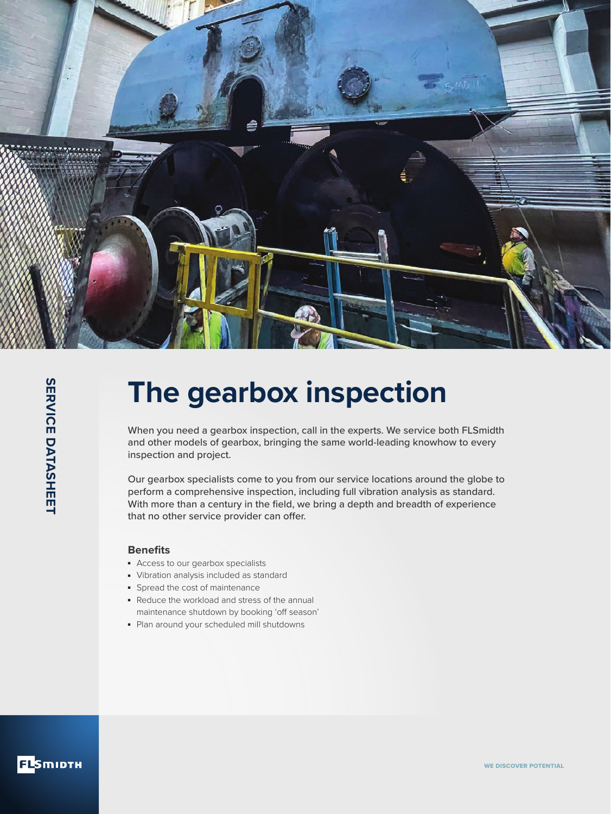

# **The gearbox inspection**

When you need a gearbox inspection, call in the experts. We service both FLSmidth and other models of gearbox, bringing the same world-leading knowhow to every inspection and project.

Our gearbox specialists come to you from our service locations around the globe to perform a comprehensive inspection, including full vibration analysis as standard. With more than a century in the field, we bring a depth and breadth of experience that no other service provider can offer.

### **Benefits**

- Access to our gearbox specialists
- Vibration analysis included as standard
- Spread the cost of maintenance
- Reduce the workload and stress of the annual maintenance shutdown by booking 'off season'
- Plan around your scheduled mill shutdowns